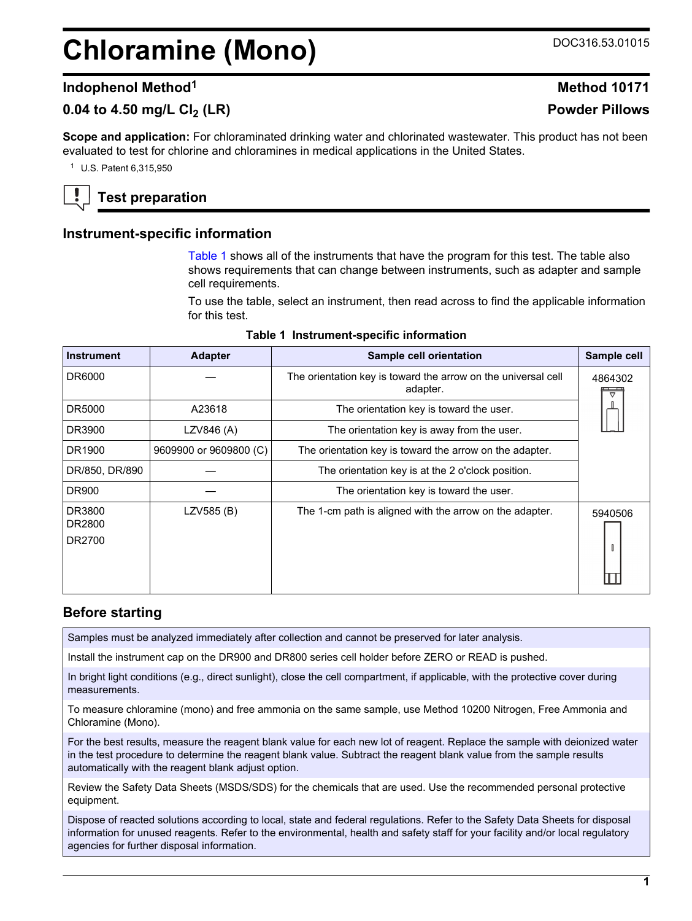# <span id="page-0-0"></span>**Chloramine (Mono)** DOC316.53.01015

# **Indophenol Method<sup>1</sup> Method 10171**

# **0.04 to 4.50 mg/L Cl2 (LR) Powder Pillows**

**Scope and application:** For chloraminated drinking water and chlorinated wastewater. This product has not been evaluated to test for chlorine and chloramines in medical applications in the United States.

<sup>1</sup> U.S. Patent 6,315,950

# **Test preparation**

## **Instrument-specific information**

Table 1 shows all of the instruments that have the program for this test. The table also shows requirements that can change between instruments, such as adapter and sample cell requirements.

To use the table, select an instrument, then read across to find the applicable information for this test.

| <b>Instrument</b>          | <b>Adapter</b>         | Sample cell orientation                                                   | Sample cell |
|----------------------------|------------------------|---------------------------------------------------------------------------|-------------|
| DR6000                     |                        | The orientation key is toward the arrow on the universal cell<br>adapter. | 4864302     |
| DR5000                     | A23618                 | The orientation key is toward the user.                                   |             |
| DR3900                     | LZV846 (A)             | The orientation key is away from the user.                                |             |
| DR1900                     | 9609900 or 9609800 (C) | The orientation key is toward the arrow on the adapter.                   |             |
| DR/850, DR/890             |                        | The orientation key is at the 2 o'clock position.                         |             |
| <b>DR900</b>               |                        | The orientation key is toward the user.                                   |             |
| DR3800<br>DR2800<br>DR2700 | LZV585 (B)             | The 1-cm path is aligned with the arrow on the adapter.                   | 5940506     |

### **Table 1 Instrument-specific information**

## **Before starting**

Samples must be analyzed immediately after collection and cannot be preserved for later analysis.

Install the instrument cap on the DR900 and DR800 series cell holder before ZERO or READ is pushed.

In bright light conditions (e.g., direct sunlight), close the cell compartment, if applicable, with the protective cover during measurements.

To measure chloramine (mono) and free ammonia on the same sample, use Method 10200 Nitrogen, Free Ammonia and Chloramine (Mono).

For the best results, measure the reagent blank value for each new lot of reagent. Replace the sample with deionized water in the test procedure to determine the reagent blank value. Subtract the reagent blank value from the sample results automatically with the reagent blank adjust option.

Review the Safety Data Sheets (MSDS/SDS) for the chemicals that are used. Use the recommended personal protective equipment.

Dispose of reacted solutions according to local, state and federal regulations. Refer to the Safety Data Sheets for disposal information for unused reagents. Refer to the environmental, health and safety staff for your facility and/or local regulatory agencies for further disposal information.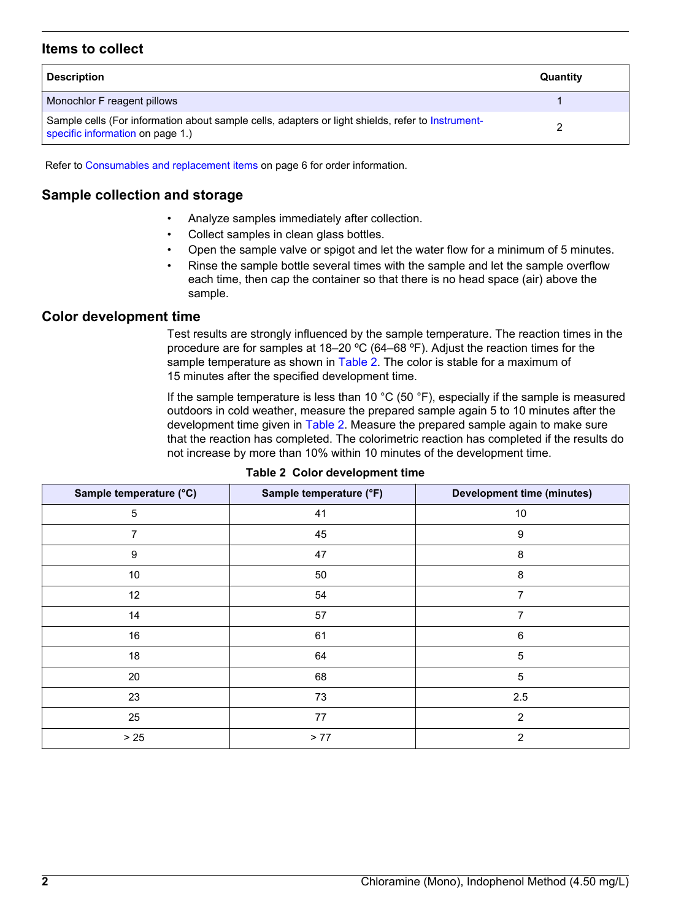# <span id="page-1-0"></span>**Items to collect**

| <b>Description</b>                                                                                                                    | Quantity |
|---------------------------------------------------------------------------------------------------------------------------------------|----------|
| Monochlor F reagent pillows                                                                                                           |          |
| Sample cells (For information about sample cells, adapters or light shields, refer to Instrument-<br>specific information on page 1.) |          |

Refer to [Consumables and replacement items](#page-5-0) on page 6 for order information.

# **Sample collection and storage**

- Analyze samples immediately after collection.
- Collect samples in clean glass bottles.
- Open the sample valve or spigot and let the water flow for a minimum of 5 minutes.
- Rinse the sample bottle several times with the sample and let the sample overflow each time, then cap the container so that there is no head space (air) above the sample.

## **Color development time**

Test results are strongly influenced by the sample temperature. The reaction times in the procedure are for samples at 18–20 ºC (64–68 ºF). Adjust the reaction times for the sample temperature as shown in Table 2. The color is stable for a maximum of 15 minutes after the specified development time.

If the sample temperature is less than 10 °C (50 °F), especially if the sample is measured outdoors in cold weather, measure the prepared sample again 5 to 10 minutes after the development time given in Table 2. Measure the prepared sample again to make sure that the reaction has completed. The colorimetric reaction has completed if the results do not increase by more than 10% within 10 minutes of the development time.

| Sample temperature (°C) | Sample temperature (°F) | <b>Development time (minutes)</b> |
|-------------------------|-------------------------|-----------------------------------|
| 5                       | 41                      | 10                                |
| 7                       | 45                      | 9                                 |
| $\boldsymbol{9}$        | 47                      | 8                                 |
| $10$                    | 50                      | 8                                 |
| 12                      | 54                      | 7                                 |
| 14                      | 57                      | 7                                 |
| 16                      | 61                      | 6                                 |
| 18                      | 64                      | 5                                 |
| 20                      | 68                      | 5                                 |
| 23                      | 73                      | 2.5                               |
| 25                      | 77                      | 2                                 |
| $>25$                   | > 77                    | 2                                 |

#### **Table 2 Color development time**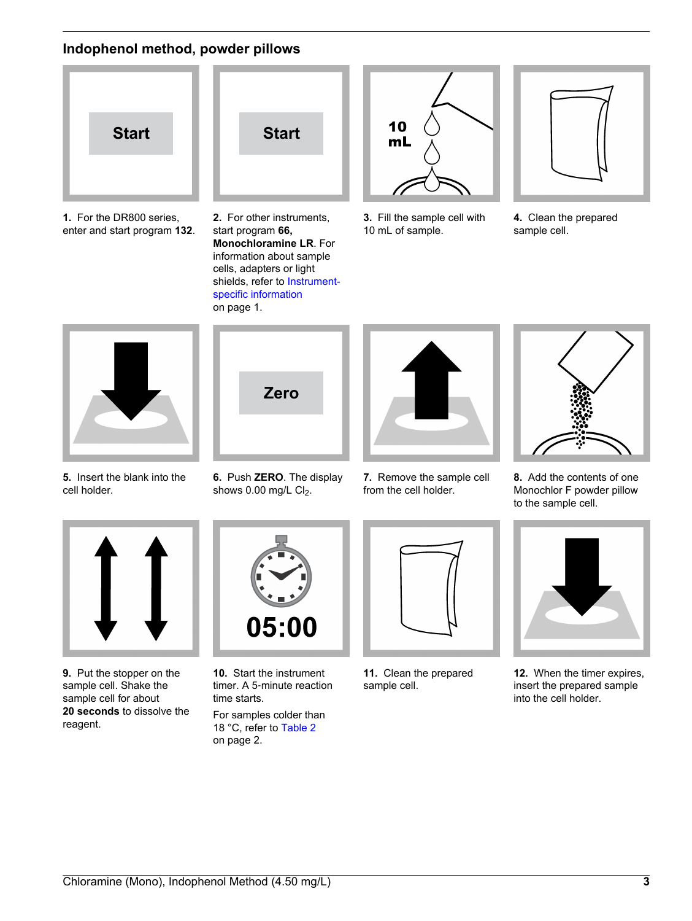# **Indophenol method, powder pillows**



**1.** For the DR800 series, enter and start program **132**.



**2.** For other instruments, start program **66, Monochloramine LR**. For information about sample cells, adapters or light shields, refer to [Instrument](#page-0-0)[specific information](#page-0-0) on page 1.



**3.** Fill the sample cell with 10 mL of sample.



**4.** Clean the prepared sample cell.



**5.** Insert the blank into the cell holder.



**6.** Push **ZERO**. The display shows  $0.00$  mg/L  $Cl<sub>2</sub>$ .



**7.** Remove the sample cell from the cell holder.



**8.** Add the contents of one Monochlor F powder pillow to the sample cell.



**9.** Put the stopper on the sample cell. Shake the sample cell for about **20 seconds** to dissolve the reagent.



**10.** Start the instrument timer. A 5‑minute reaction time starts.

For samples colder than 18 °C, refer to [Table 2](#page-1-0) on page 2.



**11.** Clean the prepared sample cell.



**12.** When the timer expires, insert the prepared sample into the cell holder.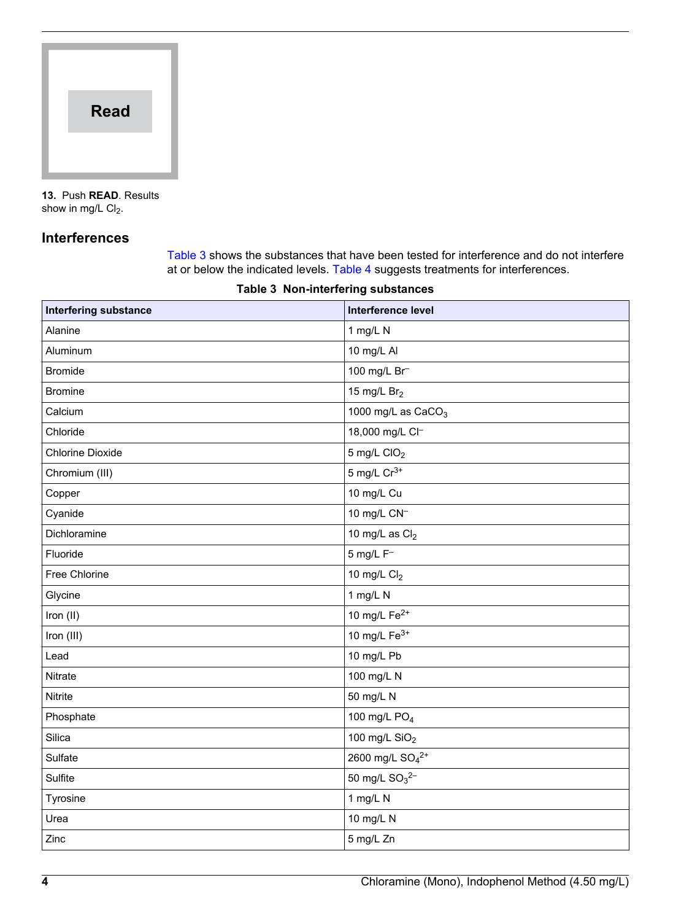

**13.** Push **READ**. Results show in mg/L  $Cl<sub>2</sub>$ .

# **Interferences**

Table 3 shows the substances that have been tested for interference and do not interfere at or below the indicated levels. [Table 4](#page-4-0) suggests treatments for interferences.

| <b>Interfering substance</b> | Interference level                      |
|------------------------------|-----------------------------------------|
| Alanine                      | 1 mg/L N                                |
| Aluminum                     | 10 mg/L Al                              |
| <b>Bromide</b>               | 100 mg/L Br                             |
| <b>Bromine</b>               | 15 mg/L $Br2$                           |
| Calcium                      | 1000 mg/L as CaCO <sub>3</sub>          |
| Chloride                     | 18,000 mg/L Cl-                         |
| <b>Chlorine Dioxide</b>      | $5$ mg/L CIO <sub>2</sub>               |
| Chromium (III)               | 5 mg/L $Cr^{3+}$                        |
| Copper                       | 10 mg/L Cu                              |
| Cyanide                      | 10 mg/L CN <sup>-1</sup>                |
| Dichloramine                 | 10 mg/L as $Cl2$                        |
| Fluoride                     | $5$ mg/L $F^-$                          |
| Free Chlorine                | 10 mg/L $Cl2$                           |
| Glycine                      | 1 mg/L N                                |
| Iron (II)                    | 10 mg/L Fe <sup>2+</sup>                |
| Iron (III)                   | 10 mg/L $Fe3+$                          |
| Lead                         | 10 mg/L Pb                              |
| Nitrate                      | 100 mg/L N                              |
| Nitrite                      | 50 mg/L N                               |
| Phosphate                    | 100 mg/L PO <sub>4</sub>                |
| Silica                       | 100 mg/L SiO <sub>2</sub>               |
| Sulfate                      | 2600 mg/L SO <sub>4</sub> <sup>2+</sup> |
| Sulfite                      | 50 mg/L $SO_3^{2-}$                     |
| Tyrosine                     | 1 mg/L N                                |
| Urea                         | 10 mg/L N                               |
| Zinc                         | 5 mg/L Zn                               |

### **Table 3 Non-interfering substances**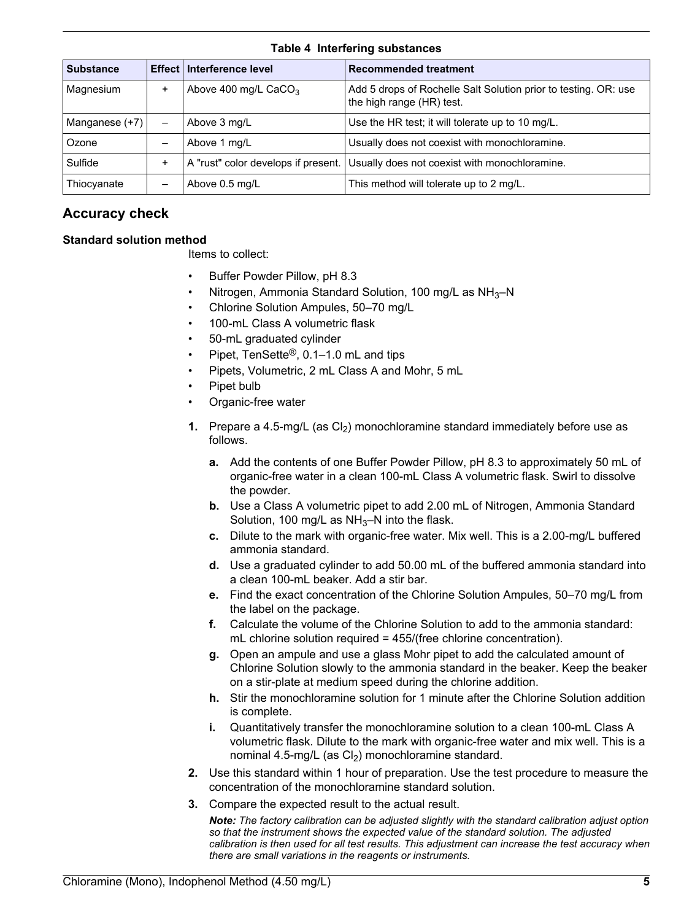|  | <b>Table 4 Interfering substances</b> |
|--|---------------------------------------|
|  |                                       |

<span id="page-4-0"></span>

| <b>Substance</b> |  | Effect   Interference level         | <b>Recommended treatment</b>                                                                 |
|------------------|--|-------------------------------------|----------------------------------------------------------------------------------------------|
| Magnesium        |  | Above 400 mg/L $CaCO3$              | Add 5 drops of Rochelle Salt Solution prior to testing. OR: use<br>the high range (HR) test. |
| Manganese (+7)   |  | Above 3 mg/L                        | Use the HR test; it will tolerate up to 10 mg/L.                                             |
| Ozone            |  | Above 1 mg/L                        | Usually does not coexist with monochloramine.                                                |
| Sulfide          |  | A "rust" color develops if present. | Usually does not coexist with monochloramine.                                                |
| Thiocyanate      |  | Above 0.5 mg/L                      | This method will tolerate up to 2 mg/L.                                                      |

# **Accuracy check**

## **Standard solution method**

Items to collect:

- Buffer Powder Pillow, pH 8.3
- Nitrogen, Ammonia Standard Solution, 100 mg/L as NH3–N
- Chlorine Solution Ampules, 50–70 mg/L
- 100-mL Class A volumetric flask
- 50-mL graduated cylinder
- Pipet, TenSette®, 0.1–1.0 mL and tips
- Pipets, Volumetric, 2 mL Class A and Mohr, 5 mL
- Pipet bulb
- Organic-free water
- **1.** Prepare a 4.5-mg/L (as  $Cl<sub>2</sub>$ ) monochloramine standard immediately before use as follows.
	- **a.** Add the contents of one Buffer Powder Pillow, pH 8.3 to approximately 50 mL of organic-free water in a clean 100-mL Class A volumetric flask. Swirl to dissolve the powder.
	- **b.** Use a Class A volumetric pipet to add 2.00 mL of Nitrogen, Ammonia Standard Solution, 100 mg/L as  $NH<sub>3</sub>$ –N into the flask.
	- **c.** Dilute to the mark with organic-free water. Mix well. This is a 2.00-mg/L buffered ammonia standard.
	- **d.** Use a graduated cylinder to add 50.00 mL of the buffered ammonia standard into a clean 100-mL beaker. Add a stir bar.
	- **e.** Find the exact concentration of the Chlorine Solution Ampules, 50–70 mg/L from the label on the package.
	- **f.** Calculate the volume of the Chlorine Solution to add to the ammonia standard: mL chlorine solution required = 455/(free chlorine concentration).
	- **g.** Open an ampule and use a glass Mohr pipet to add the calculated amount of Chlorine Solution slowly to the ammonia standard in the beaker. Keep the beaker on a stir-plate at medium speed during the chlorine addition.
	- **h.** Stir the monochloramine solution for 1 minute after the Chlorine Solution addition is complete.
	- **i.** Quantitatively transfer the monochloramine solution to a clean 100-mL Class A volumetric flask. Dilute to the mark with organic-free water and mix well. This is a nominal 4.5-mg/L (as  $Cl<sub>2</sub>$ ) monochloramine standard.
- **2.** Use this standard within 1 hour of preparation. Use the test procedure to measure the concentration of the monochloramine standard solution.
- **3.** Compare the expected result to the actual result.

*Note: The factory calibration can be adjusted slightly with the standard calibration adjust option so that the instrument shows the expected value of the standard solution. The adjusted calibration is then used for all test results. This adjustment can increase the test accuracy when there are small variations in the reagents or instruments.*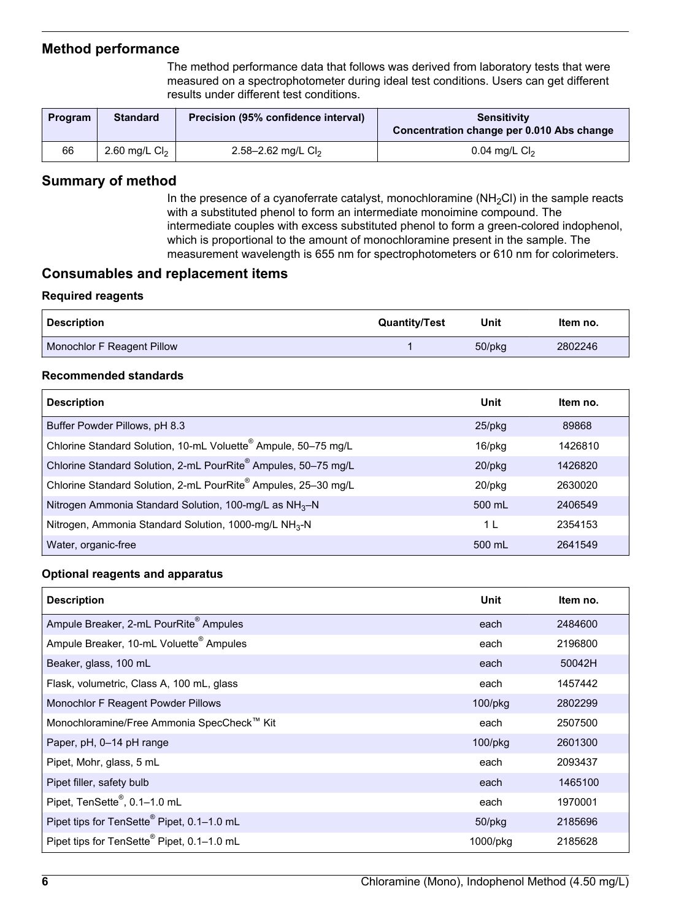# <span id="page-5-0"></span>**Method performance**

The method performance data that follows was derived from laboratory tests that were measured on a spectrophotometer during ideal test conditions. Users can get different results under different test conditions.

| <b>Program</b> | <b>Standard</b> | Precision (95% confidence interval) | <b>Sensitivity</b><br>Concentration change per 0.010 Abs change |
|----------------|-----------------|-------------------------------------|-----------------------------------------------------------------|
| 66             | 2.60 mg/L $Cl2$ | 2.58–2.62 mg/L $Cl2$                | 0.04 mg/L $Cl2$                                                 |

# **Summary of method**

In the presence of a cyanoferrate catalyst, monochloramine  $(NH<sub>2</sub>Cl)$  in the sample reacts with a substituted phenol to form an intermediate monoimine compound. The intermediate couples with excess substituted phenol to form a green-colored indophenol, which is proportional to the amount of monochloramine present in the sample. The measurement wavelength is 655 nm for spectrophotometers or 610 nm for colorimeters.

# **Consumables and replacement items**

## **Required reagents**

| <b>⊦ Description</b>       | <b>Quantity/Test</b> | Unit         | ltem no. |
|----------------------------|----------------------|--------------|----------|
| Monochlor F Reagent Pillow |                      | $50$ /p $kg$ | 2802246  |

### **Recommended standards**

| <b>Description</b>                                                | Unit      | Item no. |
|-------------------------------------------------------------------|-----------|----------|
| Buffer Powder Pillows, pH 8.3                                     | $25$ /pkg | 89868    |
| Chlorine Standard Solution, 10-mL Voluette® Ampule, 50-75 mg/L    | 16/pkg    | 1426810  |
| Chlorine Standard Solution, 2-mL PourRite® Ampules, 50-75 mg/L    | $20$ /pkg | 1426820  |
| Chlorine Standard Solution, 2-mL PourRite® Ampules, 25-30 mg/L    | 20/pkg    | 2630020  |
| Nitrogen Ammonia Standard Solution, 100-mg/L as $NH3-N$           | 500 mL    | 2406549  |
| Nitrogen, Ammonia Standard Solution, 1000-mg/L NH <sub>3</sub> -N | 1 L       | 2354153  |
| Water, organic-free                                               | 500 mL    | 2641549  |

## **Optional reagents and apparatus**

| <b>Description</b>                                     | <b>Unit</b>   | Item no. |
|--------------------------------------------------------|---------------|----------|
| Ampule Breaker, 2-mL PourRite® Ampules                 | each          | 2484600  |
| Ampule Breaker, 10-mL Voluette <sup>®</sup> Ampules    | each          | 2196800  |
| Beaker, glass, 100 mL                                  | each          | 50042H   |
| Flask, volumetric, Class A, 100 mL, glass              | each          | 1457442  |
| Monochlor F Reagent Powder Pillows                     | 100/pkg       | 2802299  |
| Monochloramine/Free Ammonia SpecCheck™ Kit             | each          | 2507500  |
| Paper, pH, 0–14 pH range                               | $100$ /p $kg$ | 2601300  |
| Pipet, Mohr, glass, 5 mL                               | each          | 2093437  |
| Pipet filler, safety bulb                              | each          | 1465100  |
| Pipet, TenSette®, 0.1-1.0 mL                           | each          | 1970001  |
| Pipet tips for TenSette <sup>®</sup> Pipet, 0.1-1.0 mL | $50$ /p $kg$  | 2185696  |
| Pipet tips for TenSette <sup>®</sup> Pipet, 0.1-1.0 mL | 1000/pkg      | 2185628  |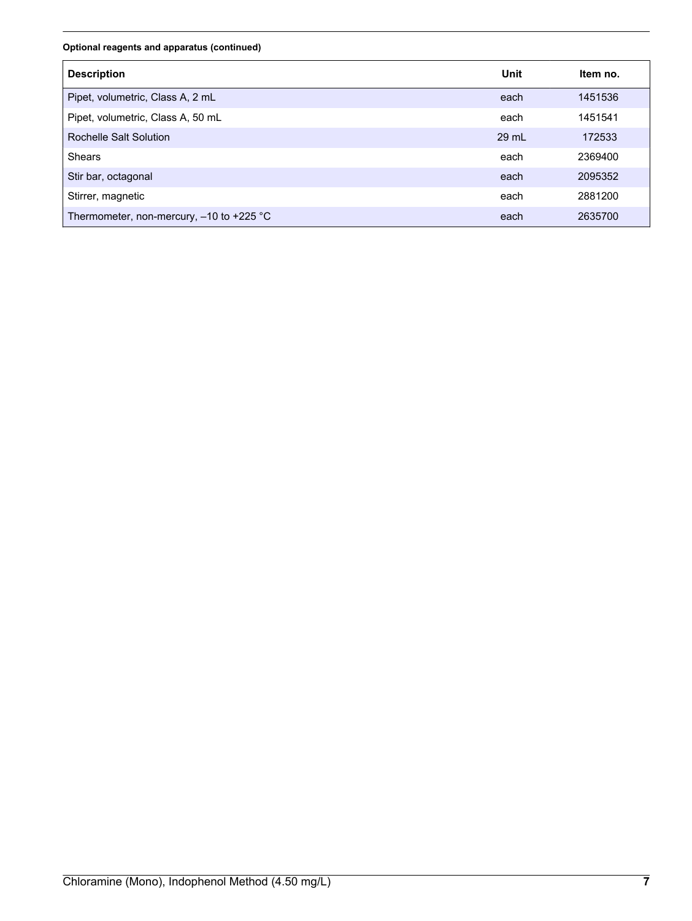#### **Optional reagents and apparatus (continued)**

| <b>Description</b>                         | Unit  | Item no. |
|--------------------------------------------|-------|----------|
| Pipet, volumetric, Class A, 2 mL           | each  | 1451536  |
| Pipet, volumetric, Class A, 50 mL          | each  | 1451541  |
| Rochelle Salt Solution                     | 29 mL | 172533   |
| <b>Shears</b>                              | each  | 2369400  |
| Stir bar, octagonal                        | each  | 2095352  |
| Stirrer, magnetic                          | each  | 2881200  |
| Thermometer, non-mercury, $-10$ to +225 °C | each  | 2635700  |